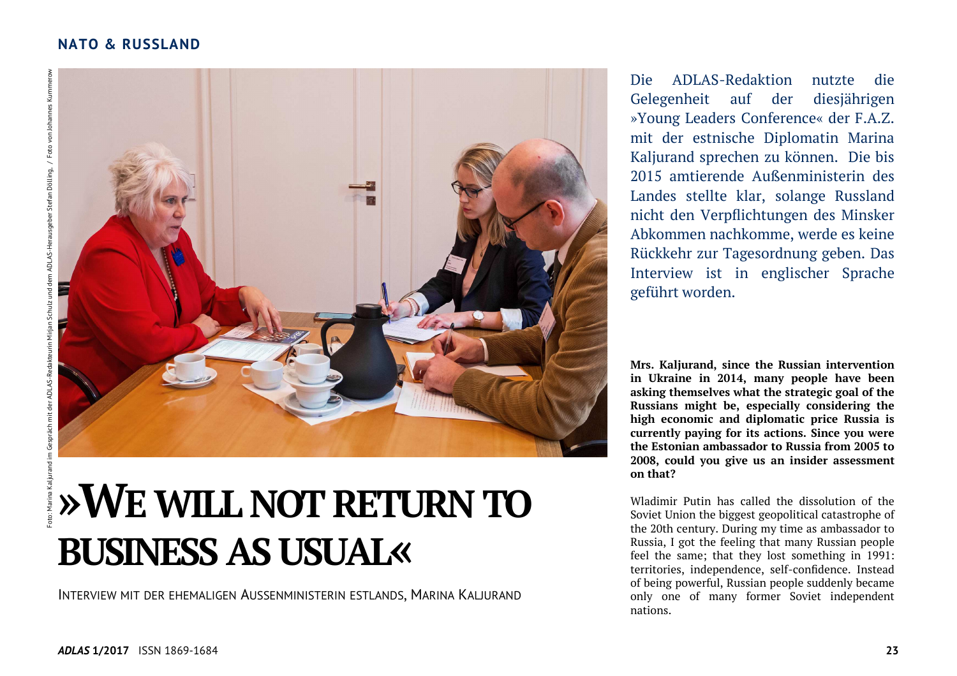

# **»WEWILL NOTRETURN TO BUSINESS AS USUAL«**

INTERVIEW MIT DER EHEMALIGEN AUSSENMINISTERIN ESTLANDS, MARINA KALJURAND

Die ADLAS-Redaktion nutzte die Gelegenheit auf der diesjährigen »Young Leaders Conference« der F.A.Z. mit der estnische Diplomatin Marina Kaljurand sprechen zu können. Die bis 2015 amtierende Außenministerin des Landes stellte klar, solange Russland nicht den Verpflichtungen des Minsker Abkommen nachkomme, werde es keine Rückkehr zur Tagesordnung geben. Das Interview ist in englischer Sprache geführt worden.

**Mrs. Kaljurand, since the Russian intervention in Ukraine in 2014, many people have been asking themselves what the strategic goal of the Russians might be, especially considering the high economic and diplomatic price Russia is currently paying for its actions. Since you were the Estonian ambassador to Russia from 2005 to 2008, could you give us an insider assessment on that?** 

Wladimir Putin has called the dissolution of the Soviet Union the biggest geopolitical catastrophe of the 20th century. During my time as ambassador to Russia, I got the feeling that many Russian people feel the same; that they lost something in 1991: territories, independence, self-confidence. Instead of being powerful, Russian people suddenly became only one of many former Soviet independent nations.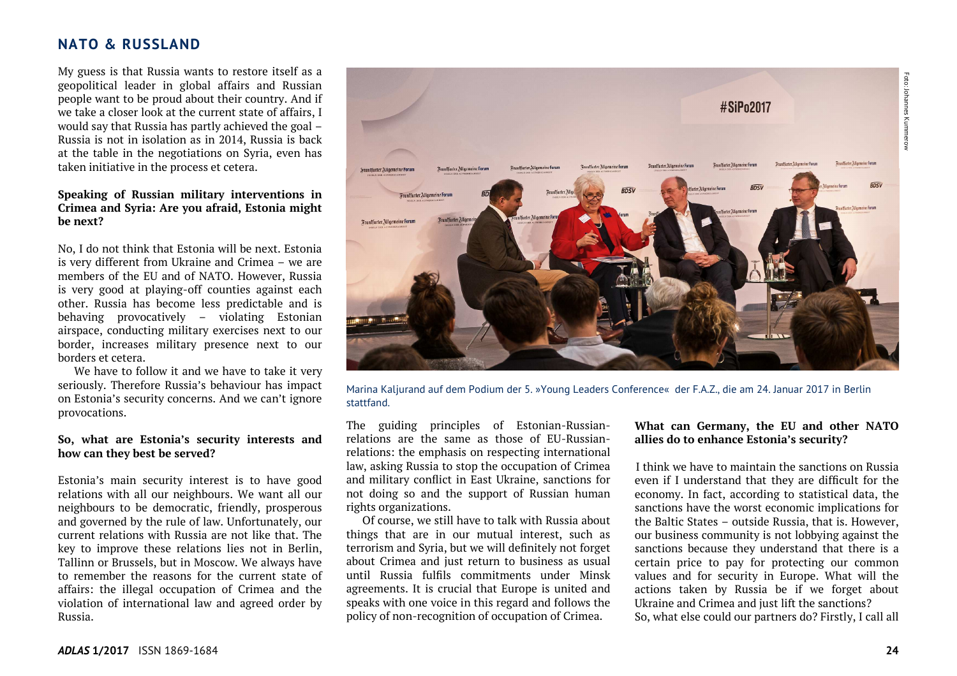My guess is that Russia wants to restore itself as a geopolitical leader in global affairs and Russian people want to be proud about their country. And if we take a closer look at the current state of affairs, I would say that Russia has partly achieved the goal – Russia is not in isolation as in 2014, Russia is back at the table in the negotiations on Syria, even has taken initiative in the process et cetera.

#### **Speaking of Russian military interventions in Crimea and Syria: Are you afraid, Estonia might be next?**

No, I do not think that Estonia will be next. Estonia is very different from Ukraine and Crimea – we are members of the EU and of NATO. However, Russia is very good at playing-off counties against each other. Russia has become less predictable and is behaving provocatively – violating Estonian airspace, conducting military exercises next to our border, increases military presence next to our borders et cetera.

 We have to follow it and we have to take it very seriously. Therefore Russia's behaviour has impact on Estonia's security concerns. And we can't ignoreprovocations.

#### **So, what are Estonia's security interests and how can they best be served?**

Estonia's main security interest is to have good relations with all our neighbours. We want all our neighbours to be democratic, friendly, prosperous and governed by the rule of law. Unfortunately, our current relations with Russia are not like that. The key to improve these relations lies not in Berlin, Tallinn or Brussels, but in Moscow. We always have to remember the reasons for the current state of affairs: the illegal occupation of Crimea and the violation of international law and agreed order by Russia.



Marina Kaljurand auf dem Podium der 5. »Young Leaders Conference« der F.A.Z., die am 24. Januar 2017 in Berlin stattfand.

The guiding principles of Estonian-Russianrelations are the same as those of EU-Russianrelations: the emphasis on respecting international law, asking Russia to stop the occupation of Crimea and military conflict in East Ukraine, sanctions for not doing so and the support of Russian human rights organizations.

 Of course, we still have to talk with Russia about things that are in our mutual interest, such as terrorism and Syria, but we will definitely not forget about Crimea and just return to business as usual until Russia fulfils commitments under Minsk agreements. It is crucial that Europe is united and speaks with one voice in this regard and follows thepolicy of non-recognition of occupation of Crimea.

#### **What can Germany, the EU and other NATO allies do to enhance Estonia's security?**

 I think we have to maintain the sanctions on Russia even if I understand that they are difficult for the economy. In fact, according to statistical data, the sanctions have the worst economic implications for the Baltic States – outside Russia, that is. However, our business community is not lobbying against the sanctions because they understand that there is a certain price to pay for protecting our common values and for security in Europe. What will the actions taken by Russia be if we forget about Ukraine and Crimea and just lift the sanctions? So, what else could our partners do? Firstly, I call all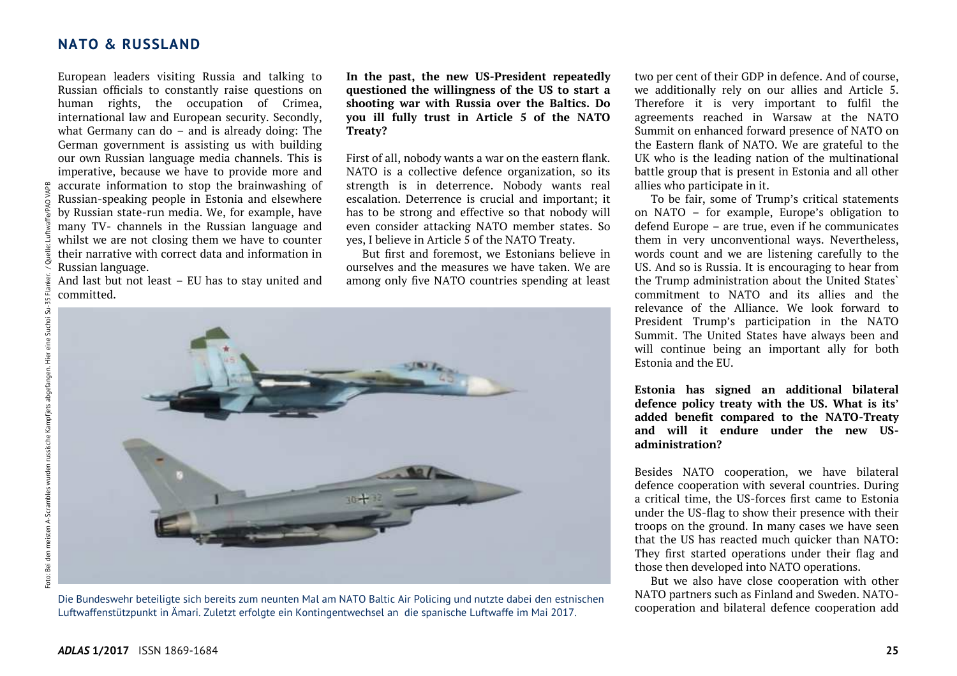European leaders visiting Russia and talking to Russian officials to constantly raise questions on human rights, the occupation of Crimea, international law and European security. Secondly, what Germany can do – and is already doing: The German government is assisting us with building our own Russian language media channels. This is imperative, because we have to provide more and accurate information to stop the brainwashing of Russian-speaking people in Estonia and elsewhere by Russian state-run media. We, for example, have many TV- channels in the Russian language and whilst we are not closing them we have to counter their narrative with correct data and information inRussian language.

 And last but not least – EU has to stay united and committed.

**In the past, the new US-President repeatedly questioned the willingness of the US to start a shooting war with Russia over the Baltics. Do you ill fully trust in Article 5 of the NATO Treaty?** 

First of all, nobody wants a war on the eastern flank. NATO is a collective defence organization, so its strength is in deterrence. Nobody wants real escalation. Deterrence is crucial and important; it has to be strong and effective so that nobody will even consider attacking NATO member states. So yes, I believe in Article 5 of the NATO Treaty.

 But first and foremost, we Estonians believe in ourselves and the measures we have taken. We are among only five NATO countries spending at least



Die Bundeswehr beteiligte sich bereits zum neunten Mal am NATO Baltic Air Policing und nutzte dabei den estnischen Luftwaffenstützpunkt in Ämari. Zuletzt erfolgte ein Kontingentwechsel an die spanische Luftwaffe im Mai 2017.

two per cent of their GDP in defence. And of course, we additionally rely on our allies and Article 5. Therefore it is very important to fulfil the agreements reached in Warsaw at the NATO Summit on enhanced forward presence of NATO on the Eastern flank of NATO. We are grateful to the UK who is the leading nation of the multinational battle group that is present in Estonia and all other allies who participate in it.

 To be fair, some of Trump's critical statements on NATO – for example, Europe's obligation to defend Europe – are true, even if he communicates them in very unconventional ways. Nevertheless, words count and we are listening carefully to the US. And so is Russia. It is encouraging to hear from the Trump administration about the United States` commitment to NATO and its allies and the relevance of the Alliance. We look forward to President Trump's participation in the NATO Summit. The United States have always been and will continue being an important ally for both Estonia and the EU.

**Estonia has signed an additional bilateral defence policy treaty with the US. What is its' added benefit compared to the NATO-Treaty and will it endure under the new USadministration?** 

Besides NATO cooperation, we have bilateral defence cooperation with several countries. During a critical time, the US-forces first came to Estonia under the US-flag to show their presence with their troops on the ground. In many cases we have seen that the US has reacted much quicker than NATO: They first started operations under their flag and those then developed into NATO operations.

 But we also have close cooperation with other NATO partners such as Finland and Sweden. NATOcooperation and bilateral defence cooperation add